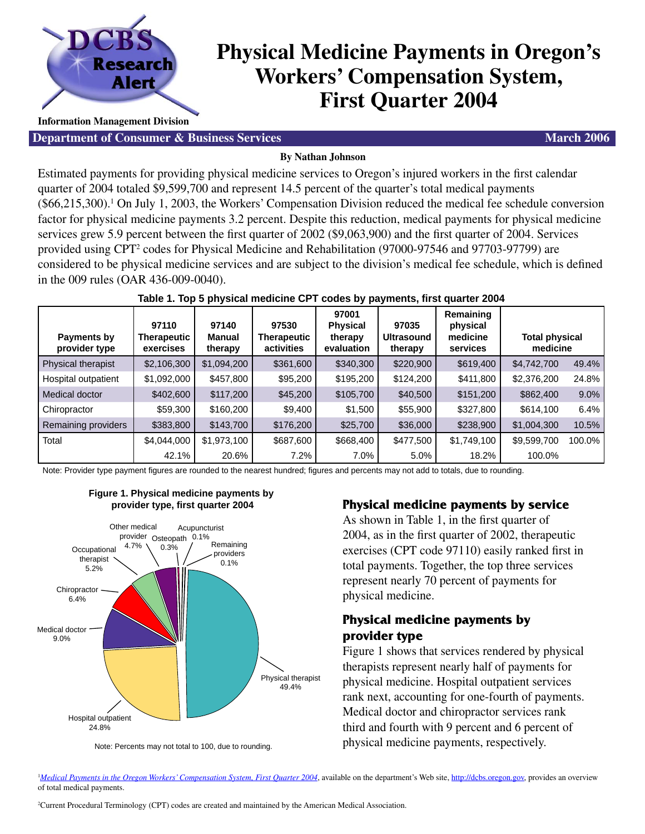

# **Physical Medicine Payments in Oregon's Workers' Compensation System, First Quarter 2004**

**Information Management Division**

**Department of Consumer & Business Services March 2006** March 2006

#### **By Nathan Johnson**

Estimated payments for providing physical medicine services to Oregon's injured workers in the first calendar quarter of 2004 totaled \$9,599,700 and represent 14.5 percent of the quarter's total medical payments  $(\$66,215,300).$ <sup>1</sup> On July 1, 2003, the Workers' Compensation Division reduced the medical fee schedule conversion factor for physical medicine payments 3.2 percent. Despite this reduction, medical payments for physical medicine services grew 5.9 percent between the first quarter of 2002 (\$9,063,900) and the first quarter of 2004. Services provided using CPT<sup>2</sup> codes for Physical Medicine and Rehabilitation (97000-97546 and 97703-97799) are considered to be physical medicine services and are subject to the division's medical fee schedule, which is defined in the 009 rules (OAR 436-009-0040).

| Payments by<br>provider type | 97110<br>Therapeutic<br>exercises | 97140<br>Manual<br>therapy | 97530<br><b>Therapeutic</b><br>activities | 97001<br><b>Physical</b><br>therapy<br>evaluation | 97035<br>Ultrasound<br>therapy | Remaining<br>physical<br>medicine<br>services | <b>Total physical</b><br>medicine |       |
|------------------------------|-----------------------------------|----------------------------|-------------------------------------------|---------------------------------------------------|--------------------------------|-----------------------------------------------|-----------------------------------|-------|
| <b>Physical therapist</b>    | \$2,106,300                       | \$1,094,200                | \$361,600                                 | \$340,300                                         | \$220,900                      | \$619,400                                     | \$4,742,700                       | 49.4% |
| Hospital outpatient          | \$1,092,000                       | \$457.800                  | \$95,200                                  | \$195,200                                         | \$124,200                      | \$411,800                                     | \$2,376,200                       | 24.8% |

Medical doctor  $\begin{array}{|c|c|c|c|c|c|c|c|c|} \hline \text{$$402,600} & \text{$$117,200} & \text{$$45,200} & \text{$$405,700} & \text{$$40,500} & \text{$$5151,200} & \text{$$5862,400} & \text{$9.0\%} \hline \end{array}$ Chiropractor | \$59,300 | \$160,200 | \$9,400 | \$1,500 | \$55,900 | \$327,800 | \$614,100 6.4% Remaining providers | \$383,800 | \$143,700 | \$176,200 | \$25,700 | \$36,000 | \$238,900 | \$1,004,300 10.5% Total | \$4,044,000 | \$1,973,100 | \$687,600 | \$668,400 | \$477,500 | \$1,749,100 | \$9,599,700 100.0%

42.1% 20.6% 7.2% 7.0% 5.0% 18.2% 100.0%

## **Table 1. Top 5 physical medicine CPT codes by payments, fi rst quarter 2004**

Note: Provider type payment figures are rounded to the nearest hundred; figures and percents may not add to totals, due to rounding.



**Figure 1. Physical medicine payments by provider type, first quarter 2004**

Note: Percents may not total to 100, due to rounding.

# **Physical medicine payments by service**

As shown in Table 1, in the first quarter of 2004, as in the first quarter of 2002, therapeutic exercises (CPT code 97110) easily ranked first in total payments. Together, the top three services represent nearly 70 percent of payments for physical medicine.

# **Physical medicine payments by provider type**

Figure 1 shows that services rendered by physical therapists represent nearly half of payments for physical medicine. Hospital outpatient services rank next, accounting for one-fourth of payments. Medical doctor and chiropractor services rank third and fourth with 9 percent and 6 percent of physical medicine payments, respectively.

<sup>1</sup>[Medical Payments in the Oregon Workers' Compensation System, First Quarter 2004](http://dcbs-reports.cbs.state.or.us/rpt/index.cfm?fuseaction=version_view&version_tk=175937&ProgID=MEDRA002), available on the department's Web site, [http://dcbs.oregon.gov,](http://dcbs.oregon.gov) provides an overview of total medical payments.